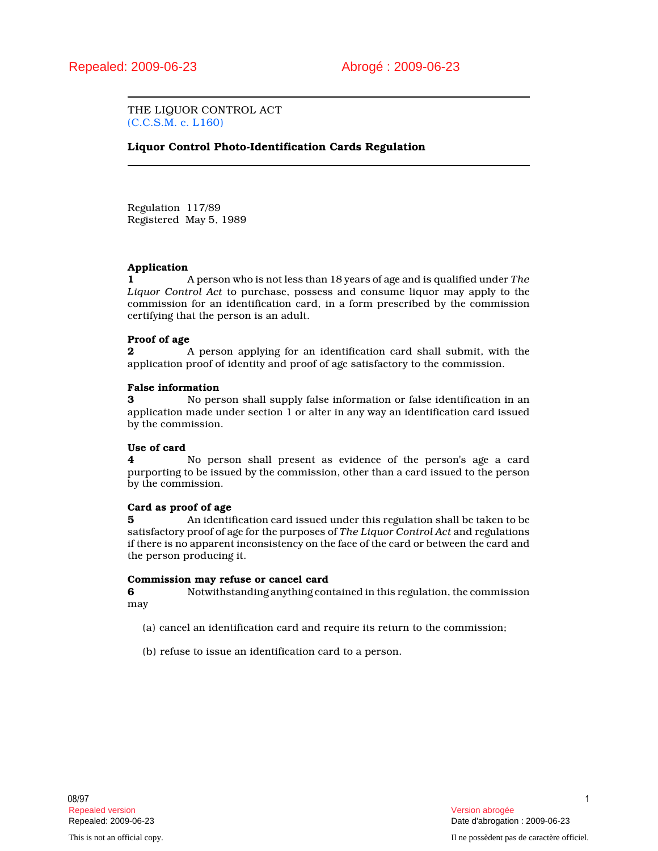THE LIQUOR CONTROL ACT (C.C.S.M. c. L160)

## Liquor Control Photo-Identification Cards Regulation

Regulation 117/89 Registered May 5, 1989

### Application

1 A person who is not less than 18 years of age and is qualified under The Liquor Control Act to purchase, possess and consume liquor may apply to the commission for an identification card, in a form prescribed by the commission certifying that the person is an adult.

### Proof of age

**2** A person applying for an identification card shall submit, with the application proof of identity and proof of age satisfactory to the commission.

#### False information

3 No person shall supply false information or false identification in an application made under section 1 or alter in any way an identification card issued by the commission.

#### Use of card

4 No person shall present as evidence of the person's age a card purporting to be issued by the commission, other than a card issued to the person by the commission.

#### Card as proof of age

5 An identification card issued under this regulation shall be taken to be satisfactory proof of age for the purposes of The Liquor Control Act and regulations if there is no apparent inconsistency on the face of the card or between the card and the person producing it.

#### Commission may refuse or cancel card

6 Notwithstanding anything contained in this regulation, the commission may

- (a) cancel an identification card and require its return to the commission;
- (b) refuse to issue an identification card to a person.